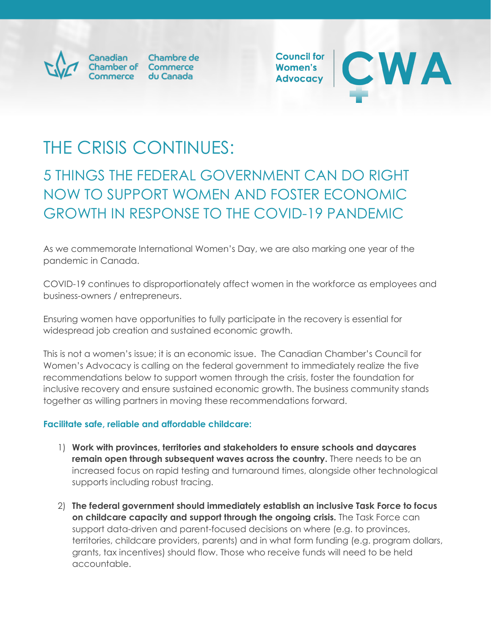

Chambre de Commerce

**Council for** Women's **Advocacy** 



# THE CRISIS CONTINUES:

## 5 THINGS THE FEDERAL GOVERNMENT CAN DO RIGHT NOW TO SUPPORT WOMEN AND FOSTER ECONOMIC GROWTH IN RESPONSE TO THE COVID-19 PANDEMIC

As we commemorate International Women's Day, we are also marking one year of the pandemic in Canada.

COVID-19 continues to disproportionately affect women in the workforce as employees and business-owners / entrepreneurs.

Ensuring women have opportunities to fully participate in the recovery is essential for widespread job creation and sustained economic growth.

This is not a women's issue; it is an economic issue. The Canadian Chamber's Council for Women's Advocacy is calling on the federal government to immediately realize the five recommendations below to support women through the crisis, foster the foundation for inclusive recovery and ensure sustained economic growth. The business community stands together as willing partners in moving these recommendations forward.

#### **Facilitate safe, reliable and affordable childcare:**

- 1) **Work with provinces, territories and stakeholders to ensure schools and daycares remain open through subsequent waves across the country.** There needs to be an increased focus on rapid testing and turnaround times, alongside other technological supports including robust tracing.
- 2) **The federal government should immediately establish an inclusive Task Force to focus on childcare capacity and support through the ongoing crisis.** The Task Force can support data-driven and parent-focused decisions on where (e.g. to provinces, territories, childcare providers, parents) and in what form funding (e.g. program dollars, grants, tax incentives) should flow. Those who receive funds will need to be held accountable.